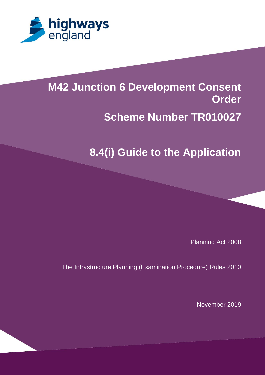

# **M42 Junction 6 Development Consent [Scheme Number TR100x3]**

#### **1.3 Percy intervals in the Application Contraction Control Contraction Contraction Contracts Scheme Number TR010027**

# **8.4(i) Guide to the Application**

Planning Act 2008

The Infrastructure Planning (Examination Procedure) Rules 2010

November 2019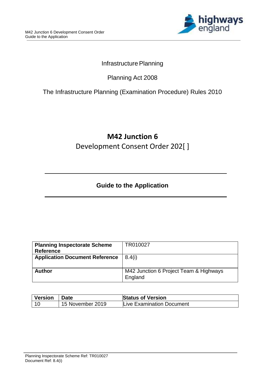

### Infrastructure Planning

## Planning Act 2008

### The Infrastructure Planning (Examination Procedure) Rules 2010

# **M42 Junction 6** Development Consent Order 202[ ]

## **Guide to the Application**

| TR010027                               |
|----------------------------------------|
|                                        |
| 8.4(i)                                 |
|                                        |
|                                        |
| M42 Junction 6 Project Team & Highways |
| England                                |
|                                        |

| <b>Version</b> | ∣ Date           | <b>Status of Version</b>  |
|----------------|------------------|---------------------------|
|                | 15 November 2019 | Live Examination Document |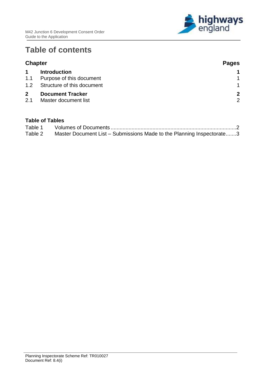

# **Table of contents**

| <b>Chapter</b>      |                                                 | <b>Pages</b>                  |
|---------------------|-------------------------------------------------|-------------------------------|
| $\mathbf 1$         | <b>Introduction</b>                             |                               |
| 1.1                 | Purpose of this document                        |                               |
| 1.2                 | Structure of this document                      | $\overline{1}$                |
| $\mathbf{2}$<br>2.1 | <b>Document Tracker</b><br>Master document list | $\mathbf{2}$<br>$\mathcal{P}$ |

#### **Table of Tables**

| Table 1 |                                                                       |  |
|---------|-----------------------------------------------------------------------|--|
| Table 2 | Master Document List – Submissions Made to the Planning Inspectorate3 |  |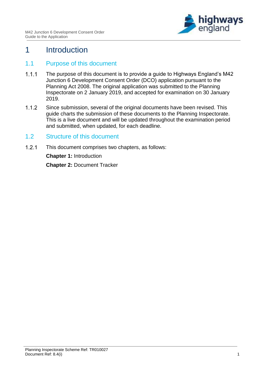

## <span id="page-3-0"></span>1 Introduction

#### <span id="page-3-1"></span>1.1 Purpose of this document

- $1.1.1$ The purpose of this document is to provide a guide to Highways England's M42 Junction 6 Development Consent Order (DCO) application pursuant to the Planning Act 2008. The original application was submitted to the Planning Inspectorate on 2 January 2019, and accepted for examination on 30 January 2019.
- $1.1.2$ Since submission, several of the original documents have been revised. This guide charts the submission of these documents to the Planning Inspectorate. This is a live document and will be updated throughout the examination period and submitted, when updated, for each deadline.

#### <span id="page-3-2"></span>1.2 Structure of this document

 $1.2.1$ This document comprises two chapters, as follows: **Chapter 1:** Introduction **Chapter 2:** Document Tracker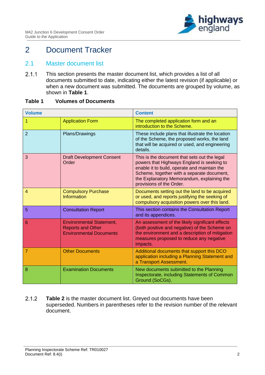

# <span id="page-4-0"></span>2 Document Tracker

#### <span id="page-4-1"></span>2.1 Master document list

 $2.1.1$ This section presents the master document list, which provides a list of all documents submitted to date, indicating either the latest revision (if applicable) or when a new document was submitted. The documents are grouped by volume, as shown in **[Table 1](#page-4-2)**.

#### <span id="page-4-2"></span>**Table 1 Volumes of Documents**

| <b>Volume</b>  |                                                                                               | <b>Content</b>                                                                                                                                                                                                                                                     |
|----------------|-----------------------------------------------------------------------------------------------|--------------------------------------------------------------------------------------------------------------------------------------------------------------------------------------------------------------------------------------------------------------------|
| 1              | <b>Application Form</b>                                                                       | The completed application form and an<br>introduction to the Scheme.                                                                                                                                                                                               |
| $\overline{2}$ | Plans/Drawings                                                                                | These include plans that illustrate the location<br>of the Scheme, the proposed works, the land<br>that will be acquired or used, and engineering<br>details.                                                                                                      |
| 3              | <b>Draft Development Consent</b><br>Order                                                     | This is the document that sets out the legal<br>powers that Highways England is seeking to<br>enable it to build, operate and maintain the<br>Scheme, together with a separate document,<br>the Explanatory Memorandum, explaining the<br>provisions of the Order. |
| $\overline{4}$ | <b>Compulsory Purchase</b><br><b>Information</b>                                              | Documents setting out the land to be acquired<br>or used, and reports justifying the seeking of<br>compulsory acquisition powers over this land.                                                                                                                   |
| 5              | <b>Consultation Report</b>                                                                    | This section contains the Consultation Report<br>and its appendices.                                                                                                                                                                                               |
| 6              | <b>Environmental Statement,</b><br><b>Reports and Other</b><br><b>Environmental Documents</b> | An assessment of the likely significant effects<br>(both positive and negative) of the Scheme on<br>the environment and a description of mitigation<br>measures proposed to reduce any negative<br>impacts.                                                        |
| $\overline{7}$ | <b>Other Documents</b>                                                                        | Additional documents that support this DCO<br>application including a Planning Statement and<br>a Transport Assessment.                                                                                                                                            |
| 8              | <b>Examination Documents</b>                                                                  | New documents submitted to the Planning<br>Inspectorate, including Statements of Common<br>Ground (SoCGs).                                                                                                                                                         |

 $2.1.2$ **[Table 2](#page-5-0)** is the master document list. Greyed out documents have been superseded. Numbers in parentheses refer to the revision number of the relevant document.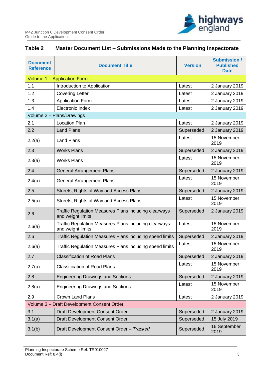

## <span id="page-5-0"></span>**Table 2 Master Document List – Submissions Made to the Planning Inspectorate**

| <b>Document</b><br><b>Reference</b>        | <b>Document Title</b>                                                             | <b>Version</b> | <b>Submission /</b><br><b>Published</b><br><b>Date</b> |  |
|--------------------------------------------|-----------------------------------------------------------------------------------|----------------|--------------------------------------------------------|--|
|                                            | Volume 1 - Application Form                                                       |                |                                                        |  |
| 1.1                                        | Introduction to Application                                                       | Latest         | 2 January 2019                                         |  |
| 1.2                                        | <b>Covering Letter</b>                                                            | Latest         | 2 January 2019                                         |  |
| 1.3                                        | <b>Application Form</b>                                                           | Latest         | 2 January 2019                                         |  |
| 1.4                                        | <b>Electronic Index</b>                                                           | Latest         | 2 January 2019                                         |  |
|                                            | Volume 2 - Plans/Drawings                                                         |                |                                                        |  |
| 2.1                                        | <b>Location Plan</b>                                                              | Latest         | 2 January 2019                                         |  |
| 2.2                                        | <b>Land Plans</b>                                                                 | Superseded     | 2 January 2019                                         |  |
| 2.2(a)                                     | <b>Land Plans</b>                                                                 | Latest         | 15 November<br>2019                                    |  |
| 2.3                                        | <b>Works Plans</b>                                                                | Superseded     | 2 January 2019                                         |  |
| 2.3(a)                                     | <b>Works Plans</b>                                                                | Latest         | 15 November<br>2019                                    |  |
| 2.4                                        | <b>General Arrangement Plans</b>                                                  | Superseded     | 2 January 2019                                         |  |
| 2.4(a)                                     | <b>General Arrangement Plans</b>                                                  | Latest         | 15 November<br>2019                                    |  |
| 2.5                                        | Streets, Rights of Way and Access Plans                                           | Superseded     | 2 January 2019                                         |  |
| 2.5(a)                                     | Streets, Rights of Way and Access Plans                                           | Latest         | 15 November<br>2019                                    |  |
| 2.6                                        | Traffic Regulation Measures Plans including clearways<br>and weight limits        | Superseded     | 2 January 2019                                         |  |
| 2.6(a)                                     | <b>Traffic Regulation Measures Plans including clearways</b><br>and weight limits | Latest         | 15 November<br>2019                                    |  |
| 2.6                                        | Traffic Regulation Measures Plans including speed limits                          | Superseded     | 2 January 2019                                         |  |
| 2.6(a)                                     | Traffic Regulation Measures Plans including speed limits                          | Latest         | 15 November<br>2019                                    |  |
| 2.7                                        | <b>Classification of Road Plans</b>                                               | Superseded     | 2 January 2019                                         |  |
| 2.7(a)                                     | <b>Classification of Road Plans</b>                                               | Latest         | 15 November<br>2019                                    |  |
| 2.8                                        | <b>Engineering Drawings and Sections</b>                                          | Superseded     | 2 January 2019                                         |  |
| 2.8(a)                                     | <b>Engineering Drawings and Sections</b>                                          | Latest         | 15 November<br>2019                                    |  |
| 2.9                                        | <b>Crown Land Plans</b>                                                           | Latest         | 2 January 2019                                         |  |
| Volume 3 - Draft Development Consent Order |                                                                                   |                |                                                        |  |
| 3.1                                        | Draft Development Consent Order                                                   | Superseded     | 2 January 2019                                         |  |
| 3.1(a)                                     | Draft Development Consent Order                                                   | Superseded     | 15 July 2019                                           |  |
| 3.1(b)                                     | Draft Development Consent Order - Tracked                                         | Superseded     | 16 September<br>2019                                   |  |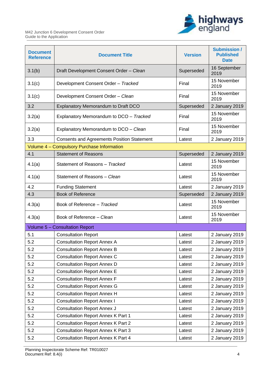

| <b>Document</b><br><b>Reference</b> | <b>Document Title</b>                             | <b>Version</b> | <b>Submission /</b><br><b>Published</b><br><b>Date</b> |
|-------------------------------------|---------------------------------------------------|----------------|--------------------------------------------------------|
| 3.1(b)                              | Draft Development Consent Order - Clean           | Superseded     | 16 September<br>2019                                   |
| 3.1(c)                              | Development Consent Order - Tracked               | Final          | 15 November<br>2019                                    |
| 3.1(c)                              | Development Consent Order - Clean                 | Final          | 15 November<br>2019                                    |
| 3.2                                 | Explanatory Memorandum to Draft DCO               | Superseded     | 2 January 2019                                         |
| 3.2(a)                              | Explanatory Memorandum to DCO - Tracked           | Final          | 15 November<br>2019                                    |
| 3.2(a)                              | Explanatory Memorandum to DCO - Clean             | Final          | 15 November<br>2019                                    |
| 3.3                                 | <b>Consents and Agreements Position Statement</b> | Latest         | 2 January 2019                                         |
|                                     | Volume 4 - Compulsory Purchase Information        |                |                                                        |
| 4.1                                 | <b>Statement of Reasons</b>                       | Superseded     | 2 January 2019                                         |
| 4.1(a)                              | Statement of Reasons - Tracked                    | Latest         | 15 November<br>2019                                    |
| 4.1(a)                              | Statement of Reasons - Clean                      | Latest         | 15 November<br>2019                                    |
| 4.2                                 | <b>Funding Statement</b>                          | Latest         | 2 January 2019                                         |
| 4.3                                 | <b>Book of Reference</b>                          | Superseded     | 2 January 2019                                         |
| 4.3(a)                              | Book of Reference - Tracked                       | Latest         | 15 November<br>2019                                    |
| 4.3(a)                              | Book of Reference - Clean                         | Latest         | 15 November<br>2019                                    |
|                                     | Volume 5 - Consultation Report                    |                |                                                        |
| 5.1                                 | <b>Consultation Report</b>                        | Latest         | 2 January 2019                                         |
| 5.2                                 | <b>Consultation Report Annex A</b>                | Latest         | 2 January 2019                                         |
| 5.2                                 | <b>Consultation Report Annex B</b>                | Latest         | 2 January 2019                                         |
| 5.2                                 | <b>Consultation Report Annex C</b>                | Latest         | 2 January 2019                                         |
| 5.2                                 | <b>Consultation Report Annex D</b>                | Latest         | 2 January 2019                                         |
| 5.2                                 | <b>Consultation Report Annex E</b>                | Latest         | 2 January 2019                                         |
| 5.2                                 | <b>Consultation Report Annex F</b>                | Latest         | 2 January 2019                                         |
| 5.2                                 | <b>Consultation Report Annex G</b>                | Latest         | 2 January 2019                                         |
| 5.2                                 | <b>Consultation Report Annex H</b>                | Latest         | 2 January 2019                                         |
| 5.2                                 | <b>Consultation Report Annex I</b>                | Latest         | 2 January 2019                                         |
| 5.2                                 | <b>Consultation Report Annex J</b>                | Latest         | 2 January 2019                                         |
| 5.2                                 | <b>Consultation Report Annex K Part 1</b>         | Latest         | 2 January 2019                                         |
| 5.2                                 | <b>Consultation Report Annex K Part 2</b>         | Latest         | 2 January 2019                                         |
| 5.2                                 | <b>Consultation Report Annex K Part 3</b>         | Latest         | 2 January 2019                                         |
| 5.2                                 | <b>Consultation Report Annex K Part 4</b>         | Latest         | 2 January 2019                                         |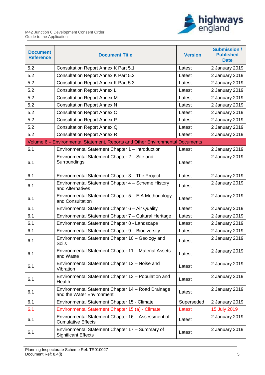

| <b>Document</b><br><b>Reference</b> | <b>Document Title</b>                                                           | <b>Version</b> | <b>Submission /</b><br><b>Published</b><br><b>Date</b> |
|-------------------------------------|---------------------------------------------------------------------------------|----------------|--------------------------------------------------------|
| 5.2                                 | <b>Consultation Report Annex K Part 5.1</b>                                     | Latest         | 2 January 2019                                         |
| 5.2                                 | <b>Consultation Report Annex K Part 5.2</b>                                     | Latest         | 2 January 2019                                         |
| 5.2                                 | <b>Consultation Report Annex K Part 5.3</b>                                     | Latest         | 2 January 2019                                         |
| 5.2                                 | <b>Consultation Report Annex L</b>                                              | Latest         | 2 January 2019                                         |
| 5.2                                 | <b>Consultation Report Annex M</b>                                              | Latest         | 2 January 2019                                         |
| 5.2                                 | <b>Consultation Report Annex N</b>                                              | Latest         | 2 January 2019                                         |
| 5.2                                 | <b>Consultation Report Annex O</b>                                              | Latest         | 2 January 2019                                         |
| 5.2                                 | <b>Consultation Report Annex P</b>                                              | Latest         | 2 January 2019                                         |
| 5.2                                 | <b>Consultation Report Annex Q</b>                                              | Latest         | 2 January 2019                                         |
| 5.2                                 | <b>Consultation Report Annex R</b>                                              | Latest         | 2 January 2019                                         |
|                                     | Volume 6 - Environmental Statement, Reports and Other Environmental Documents   |                |                                                        |
| 6.1                                 | Environmental Statement Chapter 1 - Introduction                                | Latest         | 2 January 2019                                         |
| 6.1                                 | Environmental Statement Chapter 2 - Site and<br>Surroundings                    | Latest         | 2 January 2019                                         |
| 6.1                                 | Environmental Statement Chapter 3 - The Project                                 | Latest         | 2 January 2019                                         |
| 6.1                                 | Environmental Statement Chapter 4 - Scheme History<br>and Alternatives          | Latest         | 2 January 2019                                         |
| 6.1                                 | Environmental Statement Chapter 5 - EIA Methodology<br>and Consultation         | Latest         | 2 January 2019                                         |
| 6.1                                 | Environmental Statement Chapter 6 - Air Quality                                 | Latest         | 2 January 2019                                         |
| 6.1                                 | Environmental Statement Chapter 7 - Cultural Heritage                           | Latest         | 2 January 2019                                         |
| 6.1                                 | Environmental Statement Chapter 8 - Landscape                                   | Latest         | 2 January 2019                                         |
| 6.1                                 | Environmental Statement Chapter 9 - Biodiversity                                | Latest         | 2 January 2019                                         |
| 6.1                                 | Environmental Statement Chapter 10 - Geology and<br>Soils                       | Latest         | 2 January 2019                                         |
| 6.1                                 | Environmental Statement Chapter 11 - Material Assets<br>and Waste               | Latest         | 2 January 2019                                         |
| 6.1                                 | Environmental Statement Chapter 12 - Noise and<br>Vibration                     | Latest         | 2 January 2019                                         |
| 6.1                                 | Environmental Statement Chapter 13 - Population and<br>Health                   | Latest         | 2 January 2019                                         |
| 6.1                                 | Environmental Statement Chapter 14 - Road Drainage<br>and the Water Environment | Latest         | 2 January 2019                                         |
| 6.1                                 | Environmental Statement Chapter 15 - Climate                                    | Superseded     | 2 January 2019                                         |
| 6.1                                 | Environmental Statement Chapter 15 (a) - Climate                                | Latest         | 15 July 2019                                           |
| 6.1                                 | Environmental Statement Chapter 16 - Assessment of<br><b>Cumulative Effects</b> | Latest         | 2 January 2019                                         |
| 6.1                                 | Environmental Statement Chapter 17 - Summary of<br><b>Significant Effects</b>   | Latest         | 2 January 2019                                         |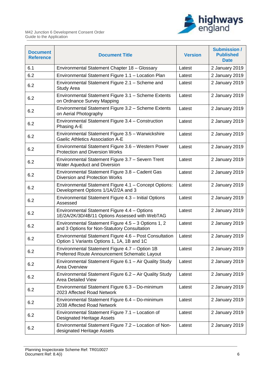

| <b>Document</b><br><b>Reference</b> | <b>Document Title</b>                                                                                 | <b>Version</b> | <b>Submission /</b><br><b>Published</b><br><b>Date</b> |
|-------------------------------------|-------------------------------------------------------------------------------------------------------|----------------|--------------------------------------------------------|
| 6.1                                 | Environmental Statement Chapter 18 - Glossary                                                         | Latest         | 2 January 2019                                         |
| 6.2                                 | Environmental Statement Figure 1.1 - Location Plan                                                    | Latest         | 2 January 2019                                         |
| 6.2                                 | Environmental Statement Figure 2.1 - Scheme and<br>Study Area                                         | Latest         | 2 January 2019                                         |
| 6.2                                 | Environmental Statement Figure 3.1 - Scheme Extents<br>on Ordnance Survey Mapping                     | Latest         | 2 January 2019                                         |
| 6.2                                 | Environmental Statement Figure 3.2 - Scheme Extents<br>on Aerial Photography                          | Latest         | 2 January 2019                                         |
| 6.2                                 | Environmental Statement Figure 3.4 - Construction<br>Phasing A-E                                      | Latest         | 2 January 2019                                         |
| 6.2                                 | Environmental Statement Figure 3.5 - Warwickshire<br><b>Gaelic Athletics Association A-E</b>          | Latest         | 2 January 2019                                         |
| 6.2                                 | Environmental Statement Figure 3.6 - Western Power<br><b>Protection and Diversion Works</b>           | Latest         | 2 January 2019                                         |
| 6.2                                 | Environmental Statement Figure 3.7 - Severn Trent<br>Water Aqueduct and Diversion                     | Latest         | 2 January 2019                                         |
| 6.2                                 | Environmental Statement Figure 3.8 - Cadent Gas<br>Diversion and Protection Works                     | Latest         | 2 January 2019                                         |
| 6.2                                 | Environmental Statement Figure 4.1 - Concept Options:<br>Development Options 1/1A/2/2A and 3          | Latest         | 2 January 2019                                         |
| 6.2                                 | Environmental Statement Figure 4.3 - Initial Options<br>Assessed                                      | Latest         | 2 January 2019                                         |
| 6.2                                 | Environmental Statement Figure 4.4 - Options<br>1E/2A/2K/3D/4B/11 Options Assessed with WebTAG        | Latest         | 2 January 2019                                         |
| 6.2                                 | Environmental Statement Figure $4.5 - 3$ Options 1, 2<br>and 3 Options for Non-Statutory Consultation | Latest         | 2 January 2019                                         |
| 6.2                                 | Environmental Statement Figure 4.6 - Post Consultation<br>Option 1 Variants Options 1, 1A, 1B and 1C  | Latest         | 2 January 2019                                         |
| 6.2                                 | Environmental Statement Figure 4.7 - Option 1B<br>Preferred Route Announcement Schematic Layout       | Latest         | 2 January 2019                                         |
| 6.2                                 | Environmental Statement Figure 6.1 - Air Quality Study<br>Area Overview                               | Latest         | 2 January 2019                                         |
| 6.2                                 | Environmental Statement Figure 6.2 - Air Quality Study<br><b>Area Detailed View</b>                   | Latest         | 2 January 2019                                         |
| 6.2                                 | Environmental Statement Figure 6.3 - Do-minimum<br>2023 Affected Road Network                         | Latest         | 2 January 2019                                         |
| 6.2                                 | Environmental Statement Figure 6.4 - Do-minimum<br>2038 Affected Road Network                         | Latest         | 2 January 2019                                         |
| 6.2                                 | Environmental Statement Figure 7.1 - Location of<br>Designated Heritage Assets                        | Latest         | 2 January 2019                                         |
| 6.2                                 | Environmental Statement Figure 7.2 - Location of Non-<br>designated Heritage Assets                   | Latest         | 2 January 2019                                         |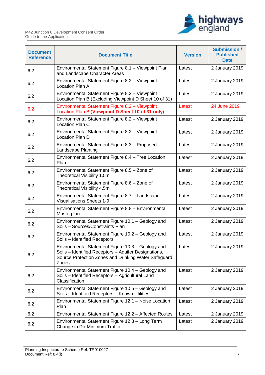

| <b>Document</b><br><b>Reference</b> | <b>Document Title</b>                                                                                                                                                      | <b>Version</b> | <b>Submission /</b><br><b>Published</b><br><b>Date</b> |
|-------------------------------------|----------------------------------------------------------------------------------------------------------------------------------------------------------------------------|----------------|--------------------------------------------------------|
| 6.2                                 | Environmental Statement Figure 8.1 - Viewpoint Plan<br>and Landscape Character Areas                                                                                       | Latest         | 2 January 2019                                         |
| 6.2                                 | Environmental Statement Figure 8.2 - Viewpoint<br>Location Plan A                                                                                                          | Latest         | 2 January 2019                                         |
| 6.2                                 | Environmental Statement Figure 8.2 - Viewpoint<br>Location Plan B (Excluding Viewpoint D Sheet 10 of 31)                                                                   | Latest         | 2 January 2019                                         |
| 6.2                                 | Environmental Statement Figure 8.2 - Viewpoint<br>Location Plan B (Viewpoint D Sheet 10 of 31 only)                                                                        | Latest         | 24 June 2019                                           |
| 6.2                                 | Environmental Statement Figure 8.2 - Viewpoint<br>Location Plan C                                                                                                          | Latest         | 2 January 2019                                         |
| 6.2                                 | Environmental Statement Figure 8.2 - Viewpoint<br>Location Plan D                                                                                                          | Latest         | 2 January 2019                                         |
| 6.2                                 | Environmental Statement Figure 8.3 - Proposed<br>Landscape Planting                                                                                                        | Latest         | 2 January 2019                                         |
| 6.2                                 | Environmental Statement Figure 8.4 - Tree Location<br>Plan                                                                                                                 | Latest         | 2 January 2019                                         |
| 6.2                                 | Environmental Statement Figure 8.5 - Zone of<br>Theoretical Visibility 1.5m                                                                                                | Latest         | 2 January 2019                                         |
| 6.2                                 | Environmental Statement Figure 8.6 - Zone of<br>Theoretical Visibility 4.5m                                                                                                | Latest         | 2 January 2019                                         |
| 6.2                                 | Environmental Statement Figure 8.7 - Landscape<br><b>Visualisations Sheets 1-9</b>                                                                                         | Latest         | 2 January 2019                                         |
| 6.2                                 | Environmental Statement Figure 8.8 - Environmental<br>Masterplan                                                                                                           | Latest         | 2 January 2019                                         |
| 6.2                                 | Environmental Statement Figure 10.1 - Geology and<br>Soils - Sources/Constraints Plan                                                                                      | Latest         | 2 January 2019                                         |
| 6.2                                 | Environmental Statement Figure 10.2 - Geology and<br>Soils - Identified Receptors                                                                                          | Latest         | 2 January 2019                                         |
| 6.2                                 | Environmental Statement Figure 10.3 - Geology and<br>Soils - Identified Receptors - Aquifer Designations,<br>Source Protection Zones and Drinking Water Safeguard<br>Zones | Latest         | 2 January 2019                                         |
| 6.2                                 | Environmental Statement Figure 10.4 - Geology and<br>Soils - Identified Receptors - Agricultural Land<br>Classification                                                    | Latest         | 2 January 2019                                         |
| 6.2                                 | Environmental Statement Figure 10.5 - Geology and<br>Soils - Identified Receptors - Known Utilities                                                                        | Latest         | 2 January 2019                                         |
| 6.2                                 | Environmental Statement Figure 12.1 - Noise Location<br>Plan                                                                                                               | Latest         | 2 January 2019                                         |
| 6.2                                 | Environmental Statement Figure 12.2 - Affected Routes                                                                                                                      | Latest         | 2 January 2019                                         |
| 6.2                                 | Environmental Statement Figure 12.3 - Long Term<br>Change in Do-Minimum Traffic                                                                                            | Latest         | 2 January 2019                                         |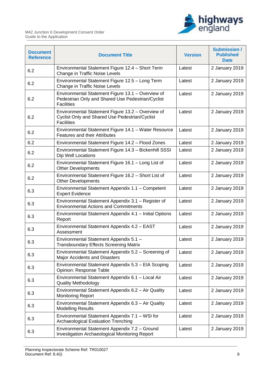

| <b>Document</b><br><b>Reference</b> | <b>Document Title</b>                                                                                                       | <b>Version</b> | <b>Submission /</b><br><b>Published</b><br><b>Date</b> |
|-------------------------------------|-----------------------------------------------------------------------------------------------------------------------------|----------------|--------------------------------------------------------|
| 6.2                                 | Environmental Statement Figure 12.4 - Short Term<br>Change in Traffic Noise Levels                                          | Latest         | 2 January 2019                                         |
| 6.2                                 | Environmental Statement Figure 12.5 - Long Term<br>Change in Traffic Noise Levels                                           | Latest         | 2 January 2019                                         |
| 6.2                                 | Environmental Statement Figure 13.1 - Overview of<br>Pedestrian Only and Shared Use Pedestrian/Cyclist<br><b>Facilities</b> | Latest         | 2 January 2019                                         |
| 6.2                                 | Environmental Statement Figure 13.2 - Overview of<br>Cyclist Only and Shared Use Pedestrian/Cyclist<br><b>Facilities</b>    | Latest         | 2 January 2019                                         |
| 6.2                                 | Environmental Statement Figure 14.1 - Water Resource<br><b>Features and their Attributes</b>                                | Latest         | 2 January 2019                                         |
| 6.2                                 | Environmental Statement Figure 14.2 - Flood Zones                                                                           | Latest         | 2 January 2019                                         |
| 6.2                                 | Environmental Statement Figure 14.3 - Bickenhill SSSI<br>Dip Well Locations                                                 | Latest         | 2 January 2019                                         |
| 6.2                                 | Environmental Statement Figure 16.1 - Long List of<br><b>Other Developments</b>                                             | Latest         | 2 January 2019                                         |
| 6.2                                 | Environmental Statement Figure 16.2 - Short List of<br><b>Other Developments</b>                                            | Latest         | 2 January 2019                                         |
| 6.3                                 | Environmental Statement Appendix 1.1 - Competent<br><b>Expert Evidence</b>                                                  | Latest         | 2 January 2019                                         |
| 6.3                                 | Environmental Statement Appendix 3.1 - Register of<br><b>Environmental Actions and Commitments</b>                          | Latest         | 2 January 2019                                         |
| 6.3                                 | Environmental Statement Appendix 4.1 - Initial Options<br>Report                                                            | Latest         | 2 January 2019                                         |
| 6.3                                 | Environmental Statement Appendix 4.2 - EAST<br>Assessment                                                                   | Latest         | 2 January 2019                                         |
| 6.3                                 | Environmental Statement Appendix 5.1 -<br><b>Transboundary Effects Screening Matrix</b>                                     | Latest         | 2 January 2019                                         |
| 6.3                                 | Environmental Statement Appendix 5.2 - Screening of<br><b>Major Accidents and Disasters</b>                                 | Latest         | 2 January 2019                                         |
| 6.3                                 | Environmental Statement Appendix 5.3 - EIA Scoping<br>Opinion: Response Table                                               | Latest         | 2 January 2019                                         |
| 6.3                                 | Environmental Statement Appendix 6.1 - Local Air<br><b>Quality Methodology</b>                                              | Latest         | 2 January 2019                                         |
| 6.3                                 | Environmental Statement Appendix 6.2 - Air Quality<br><b>Monitoring Report</b>                                              | Latest         | 2 January 2019                                         |
| 6.3                                 | Environmental Statement Appendix 6.3 - Air Quality<br><b>Modelling Results</b>                                              | Latest         | 2 January 2019                                         |
| 6.3                                 | Environmental Statement Appendix 7.1 - WSI for<br><b>Archaeological Evaluation Trenching</b>                                | Latest         | 2 January 2019                                         |
| 6.3                                 | Environmental Statement Appendix 7.2 - Ground<br>Investigation Archaeological Monitoring Report                             | Latest         | 2 January 2019                                         |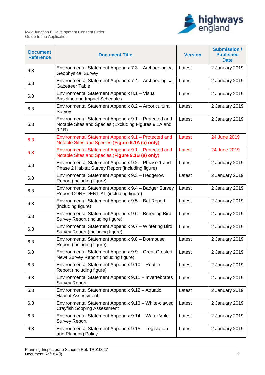

| <b>Document</b><br><b>Reference</b> | <b>Document Title</b>                                                                                                  | <b>Version</b> | <b>Submission /</b><br><b>Published</b><br><b>Date</b> |
|-------------------------------------|------------------------------------------------------------------------------------------------------------------------|----------------|--------------------------------------------------------|
| 6.3                                 | Environmental Statement Appendix 7.3 - Archaeological<br><b>Geophysical Survey</b>                                     | Latest         | 2 January 2019                                         |
| 6.3                                 | Environmental Statement Appendix 7.4 - Archaeological<br><b>Gazetteer Table</b>                                        | Latest         | 2 January 2019                                         |
| 6.3                                 | Environmental Statement Appendix 8.1 - Visual<br><b>Baseline and Impact Schedules</b>                                  | Latest         | 2 January 2019                                         |
| 6.3                                 | Environmental Statement Appendix 8.2 - Arboricultural<br>Survey                                                        | Latest         | 2 January 2019                                         |
| 6.3                                 | Environmental Statement Appendix 9.1 - Protected and<br>Notable Sites and Species (Excluding Figures 9.1A and<br>9.1B) | Latest         | 2 January 2019                                         |
| 6.3                                 | Environmental Statement Appendix 9.1 - Protected and<br>Notable Sites and Species (Figure 9.1A (a) only)               | Latest         | 24 June 2019                                           |
| 6.3                                 | Environmental Statement Appendix 9.1 - Protected and<br>Notable Sites and Species (Figure 9.1B (a) only)               | Latest         | 24 June 2019                                           |
| 6.3                                 | Environmental Statement Appendix 9.2 - Phrase 1 and<br>Phase 2 Habitat Survey Report (including figure)                | Latest         | 2 January 2019                                         |
| 6.3                                 | Environmental Statement Appendix 9.3 - Hedgerow<br>Report (including figure)                                           | Latest         | 2 January 2019                                         |
| 6.3                                 | Environmental Statement Appendix 9.4 - Badger Survey<br>Report CONFIDENTIAL (including figure)                         | Latest         | 2 January 2019                                         |
| 6.3                                 | Environmental Statement Appendix 9.5 - Bat Report<br>(including figure)                                                | Latest         | 2 January 2019                                         |
| 6.3                                 | Environmental Statement Appendix 9.6 - Breeding Bird<br>Survey Report (including figure)                               | Latest         | 2 January 2019                                         |
| 6.3                                 | Environmental Statement Appendix 9.7 - Wintering Bird<br>Survey Report (including figure)                              | Latest         | 2 January 2019                                         |
| 6.3                                 | Environmental Statement Appendix 9.8 - Dormouse<br>Report (including figure)                                           | Latest         | 2 January 2019                                         |
| 6.3                                 | Environmental Statement Appendix 9.9 - Great Crested<br>Newt Survey Report (including figure)                          | Latest         | 2 January 2019                                         |
| 6.3                                 | Environmental Statement Appendix 9.10 - Reptile<br>Report (including figure)                                           | Latest         | 2 January 2019                                         |
| 6.3                                 | Environmental Statement Appendix 9.11 - Invertebrates<br><b>Survey Report</b>                                          | Latest         | 2 January 2019                                         |
| 6.3                                 | Environmental Statement Appendix 9.12 - Aquatic<br><b>Habitat Assessment</b>                                           | Latest         | 2 January 2019                                         |
| 6.3                                 | Environmental Statement Appendix 9.13 - White-clawed<br>Crayfish Scoping Assessment                                    | Latest         | 2 January 2019                                         |
| 6.3                                 | Environmental Statement Appendix 9.14 - Water Vole<br><b>Survey Report</b>                                             | Latest         | 2 January 2019                                         |
| 6.3                                 | Environmental Statement Appendix 9.15 - Legislation<br>and Planning Policy                                             | Latest         | 2 January 2019                                         |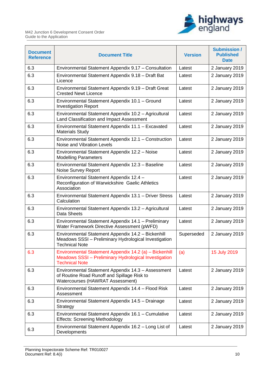

| <b>Document</b><br><b>Reference</b> | <b>Document Title</b>                                                                                                                           | <b>Version</b> | <b>Submission /</b><br><b>Published</b><br><b>Date</b> |
|-------------------------------------|-------------------------------------------------------------------------------------------------------------------------------------------------|----------------|--------------------------------------------------------|
| 6.3                                 | Environmental Statement Appendix 9.17 - Consultation                                                                                            | Latest         | 2 January 2019                                         |
| 6.3                                 | Environmental Statement Appendix 9.18 - Draft Bat<br>Licence                                                                                    | Latest         | 2 January 2019                                         |
| 6.3                                 | Environmental Statement Appendix 9.19 - Draft Great<br><b>Crested Newt Licence</b>                                                              | Latest         | 2 January 2019                                         |
| 6.3                                 | Environmental Statement Appendix 10.1 - Ground<br><b>Investigation Report</b>                                                                   | Latest         | 2 January 2019                                         |
| 6.3                                 | Environmental Statement Appendix 10.2 - Agricultural<br>Land Classification and Impact Assessment                                               | Latest         | 2 January 2019                                         |
| 6.3                                 | Environmental Statement Appendix 11.1 - Excavated<br><b>Materials Study</b>                                                                     | Latest         | 2 January 2019                                         |
| 6.3                                 | Environmental Statement Appendix 12.1 - Construction<br>Noise and Vibration Levels                                                              | Latest         | 2 January 2019                                         |
| 6.3                                 | Environmental Statement Appendix 12.2 - Noise<br><b>Modelling Parameters</b>                                                                    | Latest         | 2 January 2019                                         |
| 6.3                                 | Environmental Statement Appendix 12.3 - Baseline<br>Noise Survey Report                                                                         | Latest         | 2 January 2019                                         |
| 6.3                                 | Environmental Statement Appendix 12.4 -<br>Reconfiguration of Warwickshire Gaelic Athletics<br>Association                                      | Latest         | 2 January 2019                                         |
| 6.3                                 | Environmental Statement Appendix 13.1 - Driver Stress<br>Calculation                                                                            | Latest         | 2 January 2019                                         |
| 6.3                                 | Environmental Statement Appendix 13.2 - Agricultural<br>Data Sheets                                                                             | Latest         | 2 January 2019                                         |
| 6.3                                 | Environmental Statement Appendix 14.1 - Preliminary<br>Water Framework Directive Assessment (pWFD)                                              | Latest         | 2 January 2019                                         |
| 6.3                                 | Environmental Statement Appendix 14.2 - Bickenhill<br>Meadows SSSI - Preliminary Hydrological Investigation<br><b>Technical Note</b>            | Superseded     | 2 January 2019                                         |
| 6.3                                 | Environmental Statement Appendix 14.2 (a) - Bickenhill<br><b>Meadows SSSI</b> – Preliminary Hydrological Investigation<br><b>Technical Note</b> | (a)            | 15 July 2019                                           |
| 6.3                                 | Environmental Statement Appendix 14.3 - Assessment<br>of Routine Road Runoff and Spillage Risk to<br><b>Watercourses (HAWRAT Assessment)</b>    | Latest         | 2 January 2019                                         |
| 6.3                                 | Environmental Statement Appendix 14.4 - Flood Risk<br>Assessment                                                                                | Latest         | 2 January 2019                                         |
| 6.3                                 | Environmental Statement Appendix 14.5 - Drainage<br>Strategy                                                                                    | Latest         | 2 January 2019                                         |
| 6.3                                 | Environmental Statement Appendix 16.1 - Cumulative<br><b>Effects: Screening Methodology</b>                                                     | Latest         | 2 January 2019                                         |
| 6.3                                 | Environmental Statement Appendix 16.2 - Long List of<br>Developments                                                                            | Latest         | 2 January 2019                                         |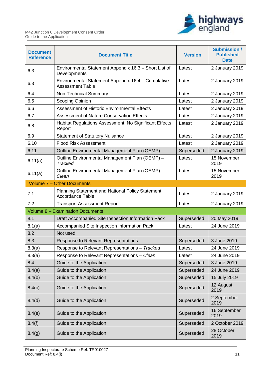

| <b>Document</b><br><b>Reference</b> | <b>Document Title</b>                                                         | <b>Version</b> | <b>Submission /</b><br><b>Published</b><br><b>Date</b> |
|-------------------------------------|-------------------------------------------------------------------------------|----------------|--------------------------------------------------------|
| 6.3                                 | Environmental Statement Appendix 16.3 - Short List of<br>Developments         | Latest         | 2 January 2019                                         |
| 6.3                                 | Environmental Statement Appendix 16.4 - Cumulative<br><b>Assessment Table</b> | Latest         | 2 January 2019                                         |
| 6.4                                 | Non-Technical Summary                                                         | Latest         | 2 January 2019                                         |
| 6.5                                 | Scoping Opinion                                                               | Latest         | 2 January 2019                                         |
| 6.6                                 | Assessment of Historic Environmental Effects                                  | Latest         | 2 January 2019                                         |
| 6.7                                 | <b>Assessment of Nature Conservation Effects</b>                              | Latest         | 2 January 2019                                         |
| 6.8                                 | Habitat Regulations Assessment: No Significant Effects<br>Report              | Latest         | 2 January 2019                                         |
| 6.9                                 | <b>Statement of Statutory Nuisance</b>                                        | Latest         | 2 January 2019                                         |
| 6.10                                | <b>Flood Risk Assessment</b>                                                  | Latest         | 2 January 2019                                         |
| 6.11                                | Outline Environmental Management Plan (OEMP)                                  | Superseded     | 2 January 2019                                         |
| 6.11(a)                             | Outline Environmental Management Plan (OEMP) -<br><b>Tracked</b>              | Latest         | 15 November<br>2019                                    |
| 6.11(a)                             | Outline Environmental Management Plan (OEMP) -<br>Clean                       | Latest         | 15 November<br>2019                                    |
|                                     | Volume 7 - Other Documents                                                    |                |                                                        |
| 7.1                                 | Planning Statement and National Policy Statement<br><b>Accordance Table</b>   | Latest         | 2 January 2019                                         |
| 7.2                                 | <b>Transport Assessment Report</b>                                            | Latest         | 2 January 2019                                         |
|                                     | <b>Volume 8 - Examination Documents</b>                                       |                |                                                        |
| 8.1                                 | Draft Accompanied Site Inspection Information Pack                            | Superseded     | 20 May 2019                                            |
| 8.1(a)                              | Accompanied Site Inspection Information Pack                                  | Latest         | 24 June 2019                                           |
| 8.2                                 | Not used                                                                      |                |                                                        |
| 8.3                                 | <b>Response to Relevant Representations</b>                                   | Superseded     | 3 June 2019                                            |
| 8.3(a)                              | Response to Relevant Representations - Tracked                                | Latest         | 24 June 2019                                           |
| 8.3(a)                              | Response to Relevant Representations - Clean                                  | Latest         | 24 June 2019                                           |
| 8.4                                 | Guide to the Application                                                      | Superseded     | 3 June 2019                                            |
| 8.4(a)                              | Guide to the Application                                                      | Superseded     | 24 June 2019                                           |
| 8.4(b)                              | Guide to the Application                                                      | Superseded     | 15 July 2019                                           |
| 8.4(c)                              | Guide to the Application                                                      | Superseded     | 12 August<br>2019                                      |
| 8.4(d)                              | Guide to the Application                                                      | Superseded     | 2 September<br>2019                                    |
| 8.4(e)                              | Guide to the Application                                                      | Superseded     | 16 September<br>2019                                   |
| 8.4(f)                              | Guide to the Application                                                      | Superseded     | 2 October 2019                                         |
| 8.4(g)                              | Guide to the Application                                                      | Superseded     | 28 October<br>2019                                     |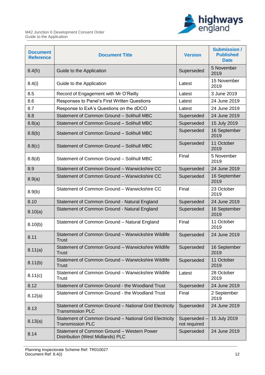

| <b>Document</b><br><b>Reference</b> | <b>Document Title</b>                                                             | <b>Version</b>               | <b>Submission /</b><br><b>Published</b><br><b>Date</b> |
|-------------------------------------|-----------------------------------------------------------------------------------|------------------------------|--------------------------------------------------------|
| 8.4(h)                              | Guide to the Application                                                          | Superseded                   | 5 November<br>2019                                     |
| 8.4(i)                              | Guide to the Application                                                          | Latest                       | 15 November<br>2019                                    |
| 8.5                                 | Record of Engagement with Mr O'Reilly                                             | Latest                       | 3 June 2019                                            |
| 8.6                                 | Responses to Panel's First Written Questions                                      | Latest                       | 24 June 2019                                           |
| 8.7                                 | Response to ExA's Questions on the dDCO                                           | Latest                       | 24 June 2019                                           |
| 8.8                                 | Statement of Common Ground - Solihull MBC                                         | Superseded                   | 24 June 2019                                           |
| 8.8(a)                              | Statement of Common Ground - Solihull MBC                                         | Superseded                   | 15 July 2019                                           |
| 8.8(b)                              | Statement of Common Ground - Solihull MBC                                         | Superseded                   | 16 September<br>2019                                   |
| 8.8(c)                              | Statement of Common Ground - Solihull MBC                                         | Superseded                   | 11 October<br>2019                                     |
| 8.8(d)                              | Statement of Common Ground - Solihull MBC                                         | Final                        | 5 November<br>2019                                     |
| 8.9                                 | Statement of Common Ground - Warwickshire CC                                      | Superseded                   | 24 June 2019                                           |
| 8.9(a)                              | Statement of Common Ground - Warwickshire CC                                      | Superseded                   | 16 September<br>2019                                   |
| 8.9(b)                              | Statement of Common Ground - Warwickshire CC                                      | Final                        | 23 October<br>2019                                     |
| 8.10                                | Statement of Common Ground - Natural England                                      | Superseded                   | 24 June 2019                                           |
| 8.10(a)                             | Statement of Common Ground - Natural England                                      | Superseded                   | 16 September<br>2019                                   |
| 8.10(b)                             | Statement of Common Ground - Natural England                                      | Final                        | 11 October<br>2019                                     |
| 8.11                                | Statement of Common Ground - Warwickshire Wildlife<br><b>Trust</b>                | Superseded                   | 24 June 2019                                           |
| 8.11(a)                             | Statement of Common Ground - Warwickshire Wildlife<br>Trust                       | Superseded                   | 16 September<br>2019                                   |
| 8.11(b)                             | Statement of Common Ground - Warwickshire Wildlife<br><b>Trust</b>                | Superseded                   | 11 October<br>2019                                     |
| 8.11(c)                             | Statement of Common Ground - Warwickshire Wildlife<br><b>Trust</b>                | Latest                       | 28 October<br>2019                                     |
| 8.12                                | Statement of Common Ground - the Woodland Trust                                   | Superseded                   | 24 June 2019                                           |
| 8.12(a)                             | Statement of Common Ground - the Woodland Trust                                   | Final                        | 2 September<br>2019                                    |
| 8.13                                | Statement of Common Ground - National Grid Electricity<br><b>Transmission PLC</b> | Superseded                   | 24 June 2019                                           |
| 8.13(a)                             | Statement of Common Ground - National Grid Electricity<br><b>Transmission PLC</b> | Superseded -<br>not required | 15 July 2019                                           |
| 8.14                                | Statement of Common Ground - Western Power<br>Distribution (West Midlands) PLC    | Superseded                   | 24 June 2019                                           |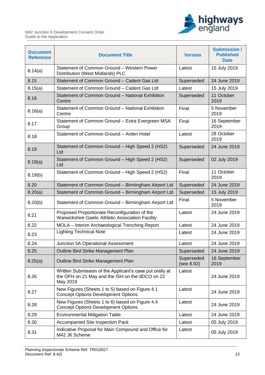

| <b>Document</b><br><b>Reference</b> | <b>Document Title</b>                                                                                                   | <b>Version</b>           | <b>Submission /</b><br><b>Published</b><br><b>Date</b> |
|-------------------------------------|-------------------------------------------------------------------------------------------------------------------------|--------------------------|--------------------------------------------------------|
| 8.14(a)                             | Statement of Common Ground - Western Power<br>Distribution (West Midlands) PLC                                          | Latest                   | 15 July 2019                                           |
| 8.15                                | Statement of Common Ground - Cadent Gas Ltd                                                                             | Superseded               | 24 June 2019                                           |
| 8.15(a)                             | Statement of Common Ground - Cadent Gas Ltd                                                                             | Latest                   | 15 July 2019                                           |
| 8.16                                | Statement of Common Ground - National Exhibition<br>Centre                                                              | Superseded               | 11 October<br>2019                                     |
| 8.16(a)                             | Statement of Common Ground - National Exhibition<br>Centre                                                              | Final                    | 5 November<br>2019                                     |
| 8.17                                | Statement of Common Ground - Extra Evergreen MSA<br>Group                                                               | Final                    | 16 September<br>2019                                   |
| 8.18                                | Statement of Common Ground - Arden Hotel                                                                                | Latest                   | 28 October<br>2019                                     |
| 8.19                                | Statement of Common Ground - High Speed 2 (HS2)<br>Ltd                                                                  | Superseded               | 24 June 2019                                           |
| 8.19(a)                             | Statement of Common Ground - High Speed 2 (HS2)<br>Ltd                                                                  | Superseded               | 02 July 2019                                           |
| 8.19(b)                             | Statement of Common Ground - High Speed 2 (HS2)                                                                         | Final                    | 11 October<br>2019                                     |
| 8.20                                | Statement of Common Ground - Birmingham Airport Ltd                                                                     | Superseded               | 24 June 2019                                           |
| 8.20(a)                             | Statement of Common Ground - Birmingham Airport Ltd                                                                     | Superseded               | 15 July 2019                                           |
| 8.20(b)                             | Statement of Common Ground - Birmingham Airport Ltd                                                                     | Final                    | 5 November<br>2019                                     |
| 8.21                                | Proposed Proportionate Reconfiguration of the<br>Warwickshire Gaelic Athletic Association Facility                      | Latest                   | 24 June 2019                                           |
| 8.22                                | MOLA - Interim Archaeological Trenching Report                                                                          | Latest                   | 24 June 2019                                           |
| 8.23                                | <b>Lighting Technical Note</b>                                                                                          | Latest                   | 24 June 2019                                           |
| 8.24                                | Junction 5A Operational Assessment                                                                                      | Latest                   | 24 June 2019                                           |
| 8.25                                | Outline Bird Strike Management Plan                                                                                     | Superseded               | 24 June 2019                                           |
| 8.25(a)                             | Outline Bird Strike Management Plan                                                                                     | Superseded<br>(see 8.92) | 16 September<br>2019                                   |
| 8.26                                | Written Submission of the Applicant's case put orally at<br>the OFH on 21 May and the ISH on the dDCO on 22<br>May 2019 | Latest                   | 24 June 2019                                           |
| 8.27                                | New Figures (Sheets 1 to 5) based on Figure 4.1<br><b>Concept Options Development Options</b>                           | Latest                   | 24 June 2019                                           |
| 8.28                                | New Figures (Sheets 1 to 6) based on Figure 4.4<br><b>Concept Options Development Options</b>                           | Latest                   | 24 June 2019                                           |
| 8.29                                | <b>Environmental Mitigation Table</b>                                                                                   | Latest                   | 24 June 2019                                           |
| 8.30                                | Accompanied Site Inspection Pack                                                                                        | Latest                   | 05 July 2019                                           |
| 8.31                                | Indicative Proposal for Main Compound and Office for<br>M42 J6 Scheme                                                   | Latest                   | 05 July 2019                                           |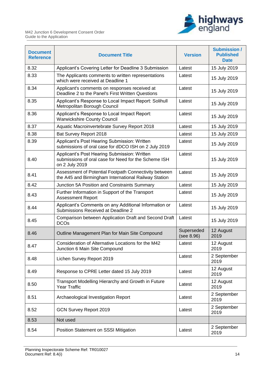

| <b>Document</b><br><b>Reference</b> | <b>Document Title</b>                                                                                                  | <b>Version</b>           | <b>Submission /</b><br><b>Published</b><br><b>Date</b> |
|-------------------------------------|------------------------------------------------------------------------------------------------------------------------|--------------------------|--------------------------------------------------------|
| 8.32                                | Applicant's Covering Letter for Deadline 3 Submission                                                                  | Latest                   | 15 July 2019                                           |
| 8.33                                | The Applicants comments to written representations<br>which were received at Deadline 1                                | Latest                   | 15 July 2019                                           |
| 8.34                                | Applicant's comments on responses received at<br>Deadline 2 to the Panel's First Written Questions                     | Latest                   | 15 July 2019                                           |
| 8.35                                | Applicant's Response to Local Impact Report: Solihull<br>Metropolitan Borough Council                                  | Latest                   | 15 July 2019                                           |
| 8.36                                | Applicant's Response to Local Impact Report:<br><b>Warwickshire County Council</b>                                     | Latest                   | 15 July 2019                                           |
| 8.37                                | Aquatic Macroinvertebrate Survey Report 2018                                                                           | Latest                   | 15 July 2019                                           |
| 8.38                                | Bat Survey Report 2018                                                                                                 | Latest                   | 15 July 2019                                           |
| 8.39                                | Applicant's Post Hearing Submission: Written<br>submissions of oral case for dDCO ISH on 2 July 2019                   | Latest                   | 15 July 2019                                           |
| 8.40                                | Applicant's Post Hearing Submission: Written<br>submissions of oral case for Need for the Scheme ISH<br>on 2 July 2019 | Latest                   | 15 July 2019                                           |
| 8.41                                | Assessment of Potential Footpath Connectivity between<br>the A45 and Birmingham International Railway Station          | Latest                   | 15 July 2019                                           |
| 8.42                                | Junction 5A Position and Constraints Summary                                                                           | Latest                   | 15 July 2019                                           |
| 8.43                                | Further Information in Support of the Transport<br><b>Assessment Report</b>                                            | Latest                   | 15 July 2019                                           |
| 8.44                                | Applicant's Comments on any Additional Information or<br>Submissions Received at Deadline 2                            | Latest                   | 15 July 2019                                           |
| 8.45                                | Comparison between Application Draft and Second Draft<br><b>DCOs</b>                                                   | Latest                   | 15 July 2019                                           |
| 8.46                                | Outline Management Plan for Main Site Compound                                                                         | Superseded<br>(see 8.96) | 12 August<br>2019                                      |
| 8.47                                | Consideration of Alternative Locations for the M42<br>Junction 6 Main Site Compound                                    | Latest                   | 12 August<br>2019                                      |
| 8.48                                | Lichen Survey Report 2019                                                                                              | Latest                   | 2 September<br>2019                                    |
| 8.49                                | Response to CPRE Letter dated 15 July 2019                                                                             | Latest                   | 12 August<br>2019                                      |
| 8.50                                | Transport Modelling Hierarchy and Growth in Future<br>Year Traffic                                                     | Latest                   | 12 August<br>2019                                      |
| 8.51                                | Archaeological Investigation Report                                                                                    | Latest                   | 2 September<br>2019                                    |
| 8.52                                | <b>GCN Survey Report 2019</b>                                                                                          | Latest                   | 2 September<br>2019                                    |
| 8.53                                | Not used                                                                                                               |                          |                                                        |
| 8.54                                | Position Statement on SSSI Mitigation                                                                                  | Latest                   | 2 September<br>2019                                    |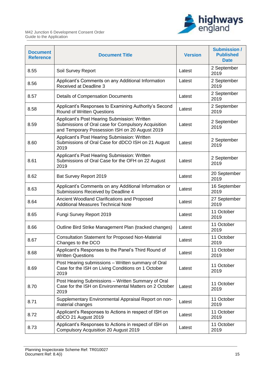

| <b>Document</b><br><b>Reference</b> | <b>Document Title</b>                                                                                                                                 | <b>Version</b> | <b>Submission /</b><br><b>Published</b><br><b>Date</b> |
|-------------------------------------|-------------------------------------------------------------------------------------------------------------------------------------------------------|----------------|--------------------------------------------------------|
| 8.55                                | Soil Survey Report                                                                                                                                    | Latest         | 2 September<br>2019                                    |
| 8.56                                | Applicant's Comments on any Additional Information<br>Received at Deadline 3                                                                          | Latest         | 2 September<br>2019                                    |
| 8.57                                | <b>Details of Compensation Documents</b>                                                                                                              | Latest         | 2 September<br>2019                                    |
| 8.58                                | Applicant's Responses to Examining Authority's Second<br><b>Round of Written Questions</b>                                                            | Latest         | 2 September<br>2019                                    |
| 8.59                                | Applicant's Post Hearing Submission: Written<br>Submissions of Oral case for Compulsory Acquisition<br>and Temporary Possession ISH on 20 August 2019 | Latest         | 2 September<br>2019                                    |
| 8.60                                | Applicant's Post Hearing Submission: Written<br>Submissions of Oral Case for dDCO ISH on 21 August<br>2019                                            | Latest         | 2 September<br>2019                                    |
| 8.61                                | Applicant's Post Hearing Submission: Written<br>Submissions of Oral Case for the OFH on 22 August<br>2019                                             | Latest         | 2 September<br>2019                                    |
| 8.62                                | Bat Survey Report 2019                                                                                                                                | Latest         | 20 September<br>2019                                   |
| 8.63                                | Applicant's Comments on any Additional Information or<br>Submissions Received by Deadline 4                                                           | Latest         | 16 September<br>2019                                   |
| 8.64                                | Ancient Woodland Clarifications and Proposed<br><b>Additional Measures Technical Note</b>                                                             | Latest         | 27 September<br>2019                                   |
| 8.65                                | Fungi Survey Report 2019                                                                                                                              | Latest         | 11 October<br>2019                                     |
| 8.66                                | Outline Bird Strike Management Plan (tracked changes)                                                                                                 | Latest         | 11 October<br>2019                                     |
| 8.67                                | <b>Consultation Statement for Proposed Non-Material</b><br>Changes to the DCO                                                                         | Latest         | 11 October<br>2019                                     |
| 8.68                                | Applicant's Responses to the Panel's Third Round of<br><b>Written Questions</b>                                                                       | Latest         | 11 October<br>2019                                     |
| 8.69                                | Post Hearing submissions - Written summary of Oral<br>Case for the ISH on Living Conditions on 1 October<br>2019                                      | Latest         | 11 October<br>2019                                     |
| 8.70                                | Post Hearing Submissions - Written Summary of Oral<br>Case for the ISH on Environmental Matters on 2 October<br>2019                                  | Latest         | 11 October<br>2019                                     |
| 8.71                                | Supplementary Environmental Appraisal Report on non-<br>material changes                                                                              | Latest         | 11 October<br>2019                                     |
| 8.72                                | Applicant's Responses to Actions in respect of ISH on<br>dDCO 21 August 2019                                                                          | Latest         | 11 October<br>2019                                     |
| 8.73                                | Applicant's Responses to Actions in respect of ISH on<br><b>Compulsory Acquisition 20 August 2019</b>                                                 | Latest         | 11 October<br>2019                                     |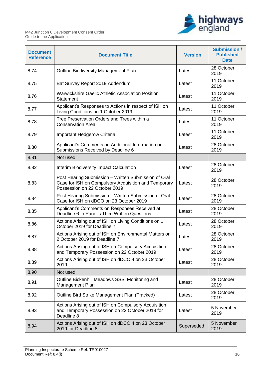

| <b>Document</b><br><b>Reference</b> | <b>Document Title</b>                                                                                                                         | <b>Version</b> | <b>Submission /</b><br><b>Published</b><br><b>Date</b> |
|-------------------------------------|-----------------------------------------------------------------------------------------------------------------------------------------------|----------------|--------------------------------------------------------|
| 8.74                                | Outline Biodiversity Management Plan                                                                                                          | Latest         | 28 October<br>2019                                     |
| 8.75                                | Bat Survey Report 2019 Addendum                                                                                                               | Latest         | 11 October<br>2019                                     |
| 8.76                                | <b>Warwickshire Gaelic Athletic Association Position</b><br>Statement                                                                         | Latest         | 11 October<br>2019                                     |
| 8.77                                | Applicant's Responses to Actions in respect of ISH on<br>Living Conditions on 1 October 2019                                                  | Latest         | 11 October<br>2019                                     |
| 8.78                                | Tree Preservation Orders and Trees within a<br><b>Conservation Area</b>                                                                       | Latest         | 11 October<br>2019                                     |
| 8.79                                | Important Hedgerow Criteria                                                                                                                   | Latest         | 11 October<br>2019                                     |
| 8.80                                | Applicant's Comments on Additional Information or<br>Submissions Received by Deadline 6                                                       | Latest         | 28 October<br>2019                                     |
| 8.81                                | Not used                                                                                                                                      |                |                                                        |
| 8.82                                | Interim Biodiversity Impact Calculation                                                                                                       | Latest         | 28 October<br>2019                                     |
| 8.83                                | Post Hearing Submission - Written Submission of Oral<br>Case for ISH on Compulsory Acquisition and Temporary<br>Possession on 22 October 2019 | Latest         | 28 October<br>2019                                     |
| 8.84                                | Post Hearing Submission - Written Submission of Oral<br>Case for ISH on dDCO on 23 October 2019                                               | Latest         | 28 October<br>2019                                     |
| 8.85                                | Applicant's Comments on Responses Received at<br>Deadline 6 to Panel's Third Written Questions                                                | Latest         | 28 October<br>2019                                     |
| 8.86                                | Actions Arising out of ISH on Living Conditions on 1<br>October 2019 for Deadline 7                                                           | Latest         | 28 October<br>2019                                     |
| 8.87                                | Actions Arising out of ISH on Environmental Matters on<br>2 October 2019 for Deadline 7                                                       | Latest         | 28 October<br>2019                                     |
| 8.88                                | Actions Arising out of ISH on Compulsory Acquisition<br>and Temporary Possession on 22 October 2019                                           | Latest         | 28 October<br>2019                                     |
| 8.89                                | Actions Arising out of ISH on dDCO 4 on 23 October<br>2019                                                                                    | Latest         | 28 October<br>2019                                     |
| 8.90                                | Not used                                                                                                                                      |                |                                                        |
| 8.91                                | Outline Bickenhill Meadows SSSI Monitoring and<br>Management Plan                                                                             | Latest         | 28 October<br>2019                                     |
| 8.92                                | Outline Bird Strike Management Plan (Tracked)                                                                                                 | Latest         | 28 October<br>2019                                     |
| 8.93                                | Actions Arising out of ISH on Compulsory Acquisition<br>and Temporary Possession on 22 October 2019 for<br>Deadline 8                         | Latest         | 5 November<br>2019                                     |
| 8.94                                | Actions Arising out of ISH on dDCO 4 on 23 October<br>2019 for Deadline 8                                                                     | Superseded     | 5 November<br>2019                                     |